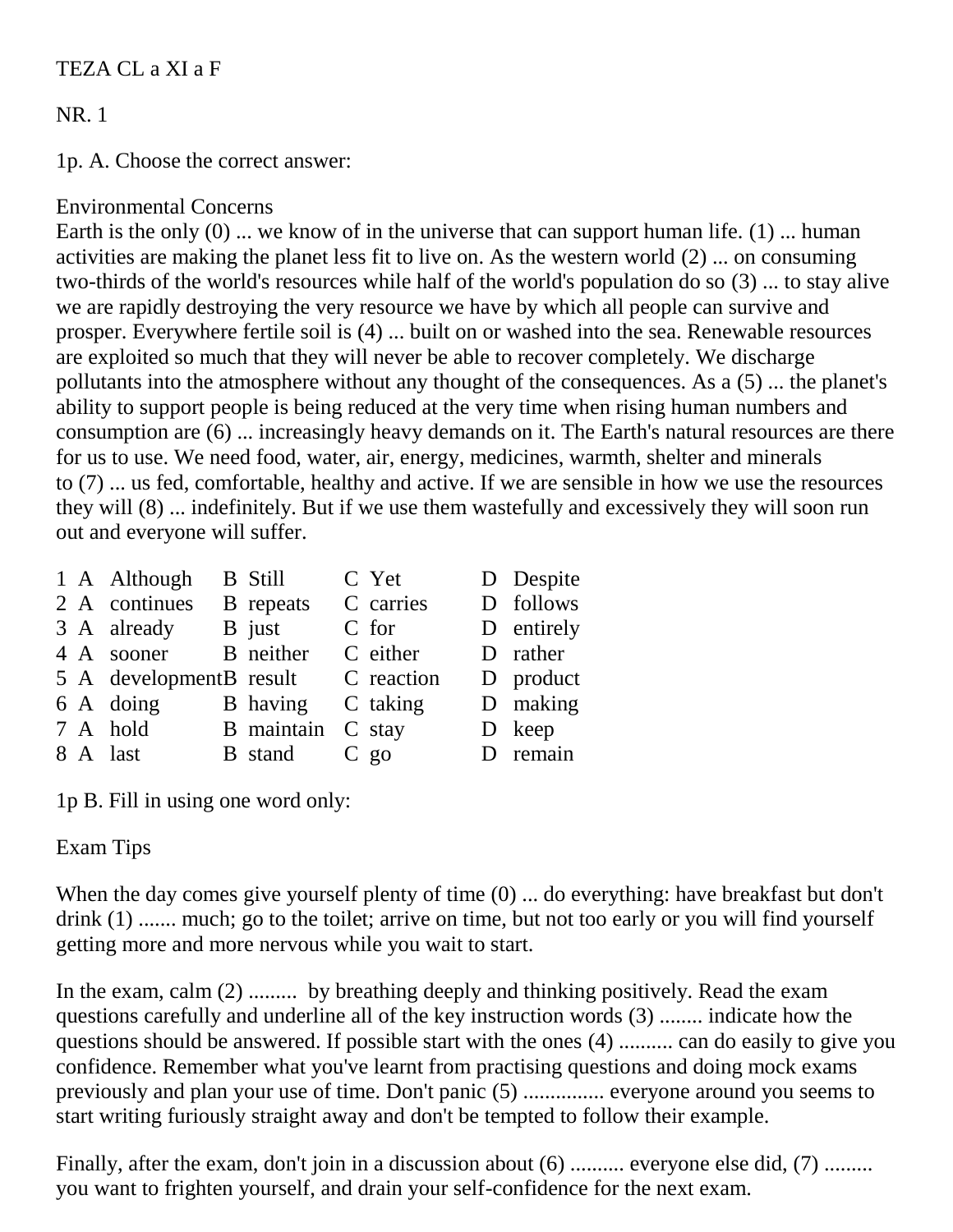## TEZA CL a XI a F

# NR. 1

1p. A. Choose the correct answer:

## Environmental Concerns

Earth is the only (0) ... we know of in the universe that can support human life. (1) ... human activities are making the planet less fit to live on. As the western world (2) ... on consuming two-thirds of the world's resources while half of the world's population do so (3) ... to stay alive we are rapidly destroying the very resource we have by which all people can survive and prosper. Everywhere fertile soil is (4) ... built on or washed into the sea. Renewable resources are exploited so much that they will never be able to recover completely. We discharge pollutants into the atmosphere without any thought of the consequences. As a (5) ... the planet's ability to support people is being reduced at the very time when rising human numbers and consumption are (6) ... increasingly heavy demands on it. The Earth's natural resources are there for us to use. We need food, water, air, energy, medicines, warmth, shelter and minerals to (7) ... us fed, comfortable, healthy and active. If we are sensible in how we use the resources they will (8) ... indefinitely. But if we use them wastefully and excessively they will soon run out and everyone will suffer.

|  | 1 A Although            | <b>B</b> Still    | C Yet      | D Despite  |
|--|-------------------------|-------------------|------------|------------|
|  | 2 A continues           | <b>B</b> repeats  | C carries  | D follows  |
|  | 3 A already             | B just            | C for      | D entirely |
|  | 4 A sooner              | B neither         | C either   | D rather   |
|  | 5 A developmentB result |                   | C reaction | D product  |
|  | 6 A doing               | <b>B</b> having   | C taking   | D making   |
|  | 7 A hold                | B maintain C stay |            | D keep     |
|  | 8 A last                | <b>B</b> stand    | $C$ go     | D remain   |

1p B. Fill in using one word only:

## Exam Tips

When the day comes give yourself plenty of time  $(0)$  ... do everything: have breakfast but don't drink (1) ....... much; go to the toilet; arrive on time, but not too early or you will find yourself getting more and more nervous while you wait to start.

In the exam, calm (2) ......... by breathing deeply and thinking positively. Read the exam questions carefully and underline all of the key instruction words (3) ........ indicate how the questions should be answered. If possible start with the ones (4) .......... can do easily to give you confidence. Remember what you've learnt from practising questions and doing mock exams previously and plan your use of time. Don't panic (5) ............... everyone around you seems to start writing furiously straight away and don't be tempted to follow their example.

Finally, after the exam, don't join in a discussion about (6) .......... everyone else did, (7) ........ you want to frighten yourself, and drain your self-confidence for the next exam.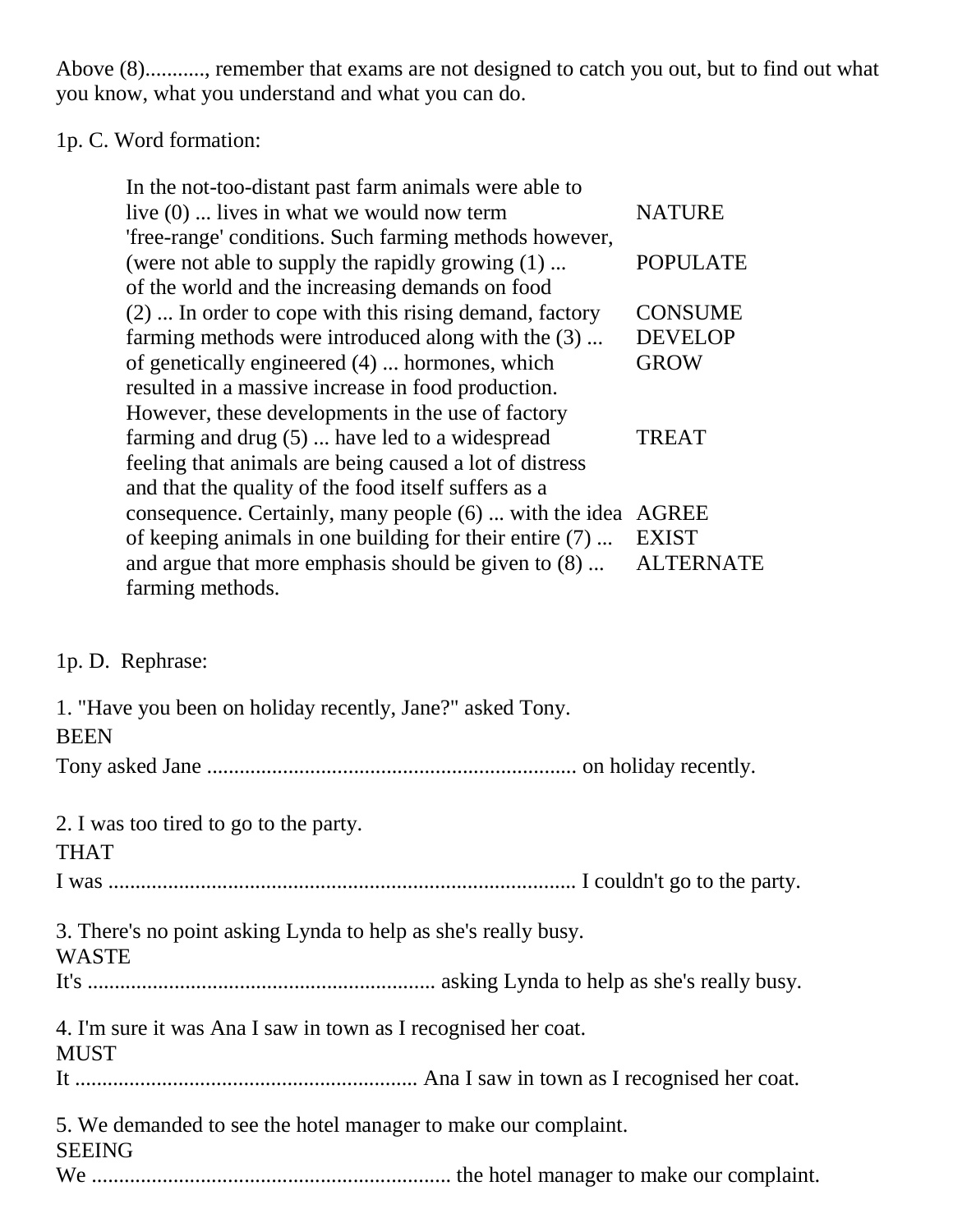Above (8)..........., remember that exams are not designed to catch you out, but to find out what you know, what you understand and what you can do.

# 1p. C. Word formation:

| In the not-too-distant past farm animals were able to   |                  |
|---------------------------------------------------------|------------------|
| live $(0)$ lives in what we would now term              | <b>NATURE</b>    |
| 'free-range' conditions. Such farming methods however,  |                  |
| (were not able to supply the rapidly growing (1)        | <b>POPULATE</b>  |
| of the world and the increasing demands on food         |                  |
| (2)  In order to cope with this rising demand, factory  | <b>CONSUME</b>   |
| farming methods were introduced along with the (3)      | <b>DEVELOP</b>   |
| of genetically engineered (4)  hormones, which          | <b>GROW</b>      |
| resulted in a massive increase in food production.      |                  |
| However, these developments in the use of factory       |                  |
| farming and drug $(5)$ have led to a widespread         | <b>TREAT</b>     |
| feeling that animals are being caused a lot of distress |                  |
| and that the quality of the food itself suffers as a    |                  |
| consequence. Certainly, many people (6)  with the idea  | <b>AGREE</b>     |
| of keeping animals in one building for their entire (7) | <b>EXIST</b>     |
| and argue that more emphasis should be given to $(8)$   | <b>ALTERNATE</b> |
| farming methods.                                        |                  |

## 1p. D. Rephrase:

| 1. "Have you been on holiday recently, Jane?" asked Tony.<br><b>BEEN</b>        |
|---------------------------------------------------------------------------------|
|                                                                                 |
| 2. I was too tired to go to the party.<br><b>THAT</b>                           |
|                                                                                 |
| 3. There's no point asking Lynda to help as she's really busy.<br><b>WASTE</b>  |
|                                                                                 |
| 4. I'm sure it was Ana I saw in town as I recognised her coat.<br><b>MUST</b>   |
|                                                                                 |
| 5. We demanded to see the hotel manager to make our complaint.<br><b>SEEING</b> |
|                                                                                 |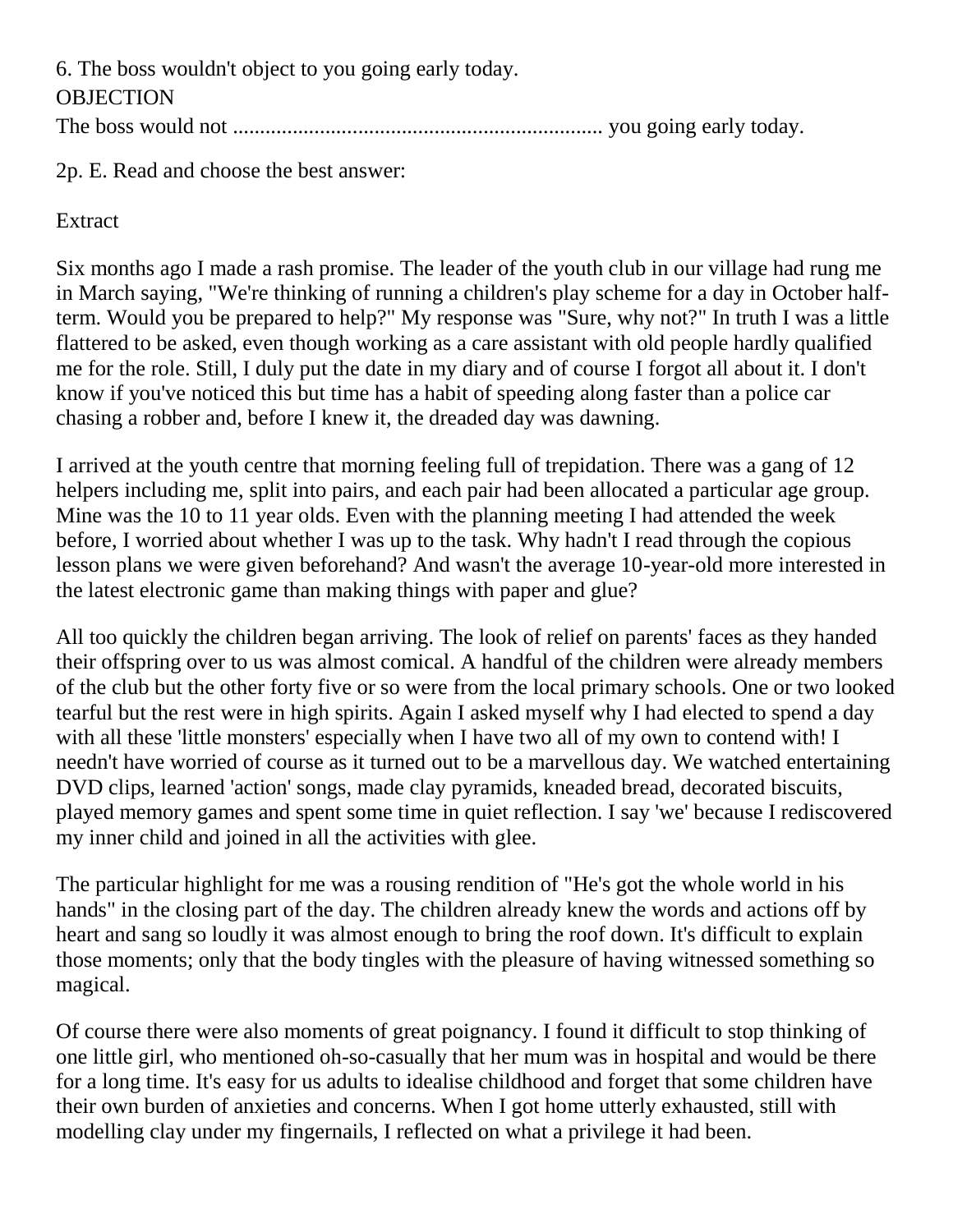6. The boss wouldn't object to you going early today. **OBJECTION** The boss would not .................................................................... you going early today.

2p. E. Read and choose the best answer:

Extract

Six months ago I made a rash promise. The leader of the youth club in our village had rung me in March saying, "We're thinking of running a children's play scheme for a day in October halfterm. Would you be prepared to help?" My response was "Sure, why not?" In truth I was a little flattered to be asked, even though working as a care assistant with old people hardly qualified me for the role. Still, I duly put the date in my diary and of course I forgot all about it. I don't know if you've noticed this but time has a habit of speeding along faster than a police car chasing a robber and, before I knew it, the dreaded day was dawning.

I arrived at the youth centre that morning feeling full of trepidation. There was a gang of 12 helpers including me, split into pairs, and each pair had been allocated a particular age group. Mine was the 10 to 11 year olds. Even with the planning meeting I had attended the week before, I worried about whether I was up to the task. Why hadn't I read through the copious lesson plans we were given beforehand? And wasn't the average 10-year-old more interested in the latest electronic game than making things with paper and glue?

All too quickly the children began arriving. The look of relief on parents' faces as they handed their offspring over to us was almost comical. A handful of the children were already members of the club but the other forty five or so were from the local primary schools. One or two looked tearful but the rest were in high spirits. Again I asked myself why I had elected to spend a day with all these 'little monsters' especially when I have two all of my own to contend with! I needn't have worried of course as it turned out to be a marvellous day. We watched entertaining DVD clips, learned 'action' songs, made clay pyramids, kneaded bread, decorated biscuits, played memory games and spent some time in quiet reflection. I say 'we' because I rediscovered my inner child and joined in all the activities with glee.

The particular highlight for me was a rousing rendition of "He's got the whole world in his hands" in the closing part of the day. The children already knew the words and actions off by heart and sang so loudly it was almost enough to bring the roof down. It's difficult to explain those moments; only that the body tingles with the pleasure of having witnessed something so magical.

Of course there were also moments of great poignancy. I found it difficult to stop thinking of one little girl, who mentioned oh-so-casually that her mum was in hospital and would be there for a long time. It's easy for us adults to idealise childhood and forget that some children have their own burden of anxieties and concerns. When I got home utterly exhausted, still with modelling clay under my fingernails, I reflected on what a privilege it had been.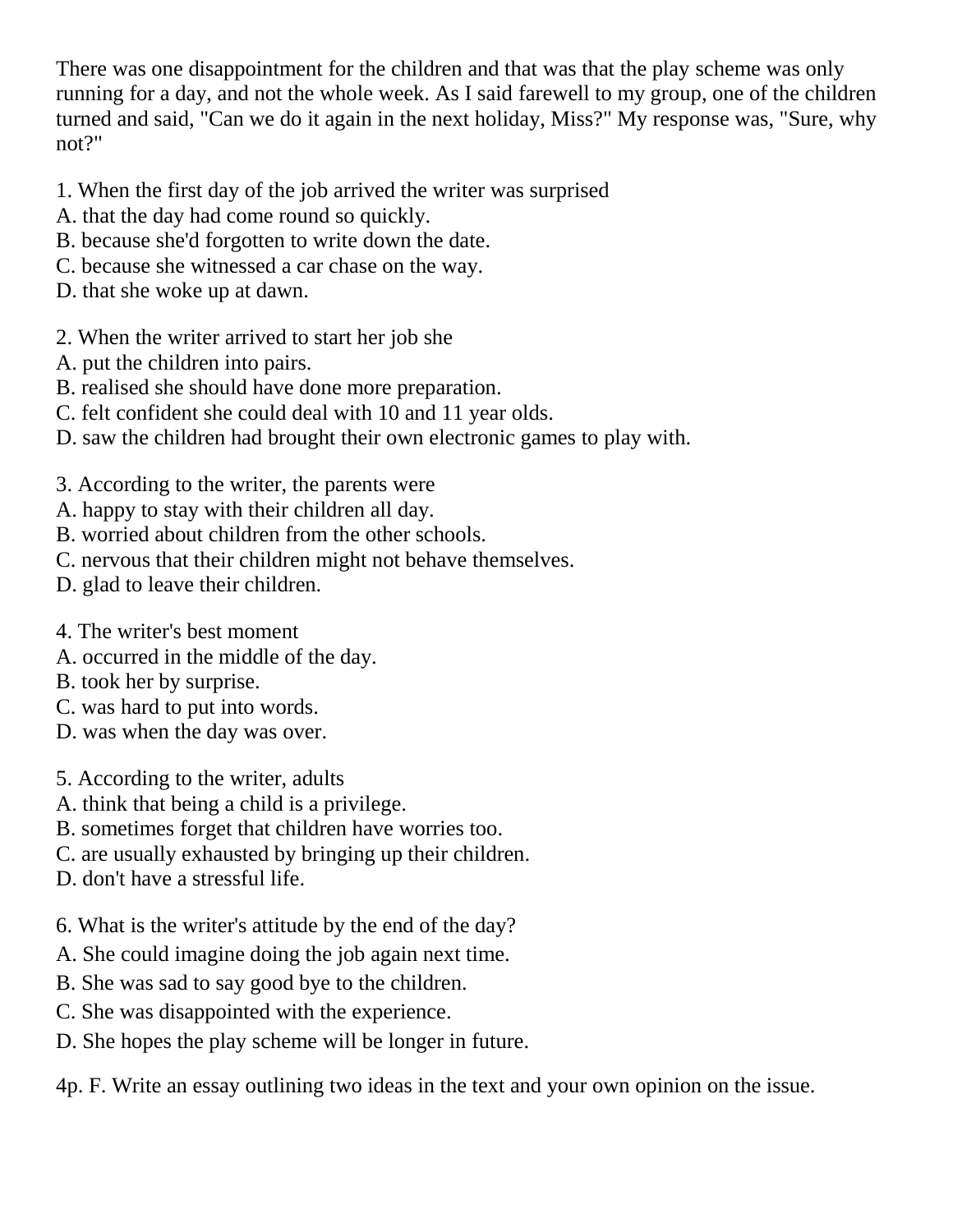There was one disappointment for the children and that was that the play scheme was only running for a day, and not the whole week. As I said farewell to my group, one of the children turned and said, "Can we do it again in the next holiday, Miss?" My response was, "Sure, why not?"

- 1. When the first day of the job arrived the writer was surprised
- A. that the day had come round so quickly.
- B. because she'd forgotten to write down the date.
- C. because she witnessed a car chase on the way.
- D. that she woke up at dawn.
- 2. When the writer arrived to start her job she
- A. put the children into pairs.
- B. realised she should have done more preparation.
- C. felt confident she could deal with 10 and 11 year olds.
- D. saw the children had brought their own electronic games to play with.
- 3. According to the writer, the parents were
- A. happy to stay with their children all day.
- B. worried about children from the other schools.
- C. nervous that their children might not behave themselves.
- D. glad to leave their children.
- 4. The writer's best moment
- A. occurred in the middle of the day.
- B. took her by surprise.
- C. was hard to put into words.
- D. was when the day was over.
- 5. According to the writer, adults
- A. think that being a child is a privilege.
- B. sometimes forget that children have worries too.
- C. are usually exhausted by bringing up their children.
- D. don't have a stressful life.
- 6. What is the writer's attitude by the end of the day?
- A. She could imagine doing the job again next time.
- B. She was sad to say good bye to the children.
- C. She was disappointed with the experience.
- D. She hopes the play scheme will be longer in future.

4p. F. Write an essay outlining two ideas in the text and your own opinion on the issue.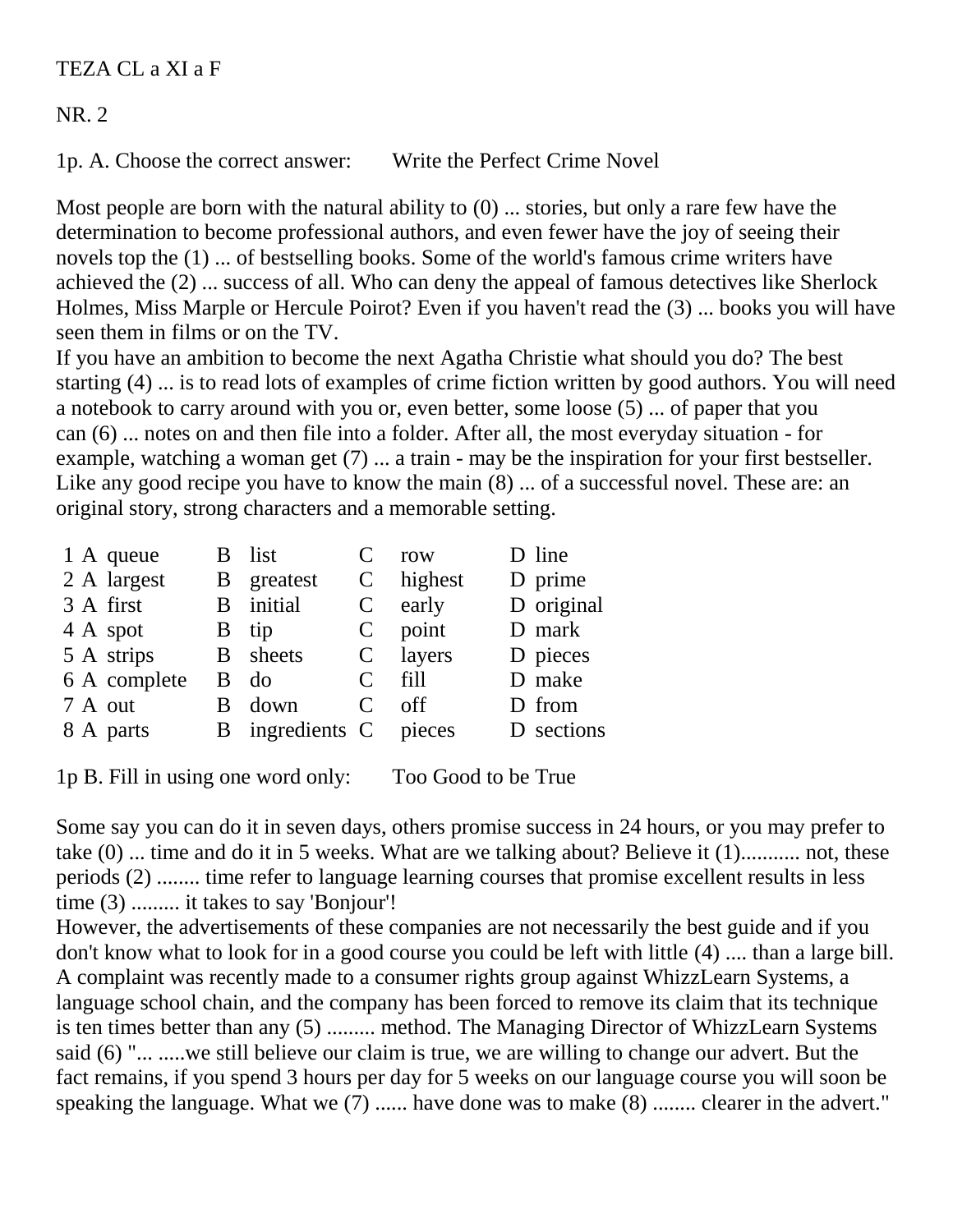TEZA CL a XI a F

NR. 2

1p. A. Choose the correct answer: Write the Perfect Crime Novel

Most people are born with the natural ability to  $(0)$  ... stories, but only a rare few have the determination to become professional authors, and even fewer have the joy of seeing their novels top the (1) ... of bestselling books. Some of the world's famous crime writers have achieved the (2) ... success of all. Who can deny the appeal of famous detectives like Sherlock Holmes, Miss Marple or Hercule Poirot? Even if you haven't read the (3) ... books you will have seen them in films or on the TV.

If you have an ambition to become the next Agatha Christie what should you do? The best starting (4) ... is to read lots of examples of crime fiction written by good authors. You will need a notebook to carry around with you or, even better, some loose (5) ... of paper that you can (6) ... notes on and then file into a folder. After all, the most everyday situation - for example, watching a woman get (7) ... a train - may be the inspiration for your first bestseller. Like any good recipe you have to know the main  $(8)$  ... of a successful novel. These are: an original story, strong characters and a memorable setting.

|  | 1 A queue    | B list                 |                             | row       | D line     |
|--|--------------|------------------------|-----------------------------|-----------|------------|
|  | 2 A largest  | B greatest             | C                           | highest   | D prime    |
|  | 3 A first    | <b>B</b> initial       |                             | $C$ early | D original |
|  | 4 A spot     | B tip                  |                             | $C$ point | D mark     |
|  | 5 A strips   | <b>B</b> sheets        |                             | C layers  | D pieces   |
|  | 6 A complete | $B$ do                 | C                           | fill      | D make     |
|  | 7 A out      | B down                 | $\mathcal{C}_{\mathcal{C}}$ | off       | D from     |
|  | 8 A parts    | B ingredients C pieces |                             |           | D sections |
|  |              |                        |                             |           |            |

1p B. Fill in using one word only: Too Good to be True

Some say you can do it in seven days, others promise success in 24 hours, or you may prefer to take (0) ... time and do it in 5 weeks. What are we talking about? Believe it (1)........... not, these periods (2) ........ time refer to language learning courses that promise excellent results in less time (3) ......... it takes to say 'Bonjour'!

However, the advertisements of these companies are not necessarily the best guide and if you don't know what to look for in a good course you could be left with little (4) .... than a large bill. A complaint was recently made to a consumer rights group against WhizzLearn Systems, a language school chain, and the company has been forced to remove its claim that its technique is ten times better than any (5) ......... method. The Managing Director of WhizzLearn Systems said (6) "... .....we still believe our claim is true, we are willing to change our advert. But the fact remains, if you spend 3 hours per day for 5 weeks on our language course you will soon be speaking the language. What we (7) ...... have done was to make (8) ........ clearer in the advert."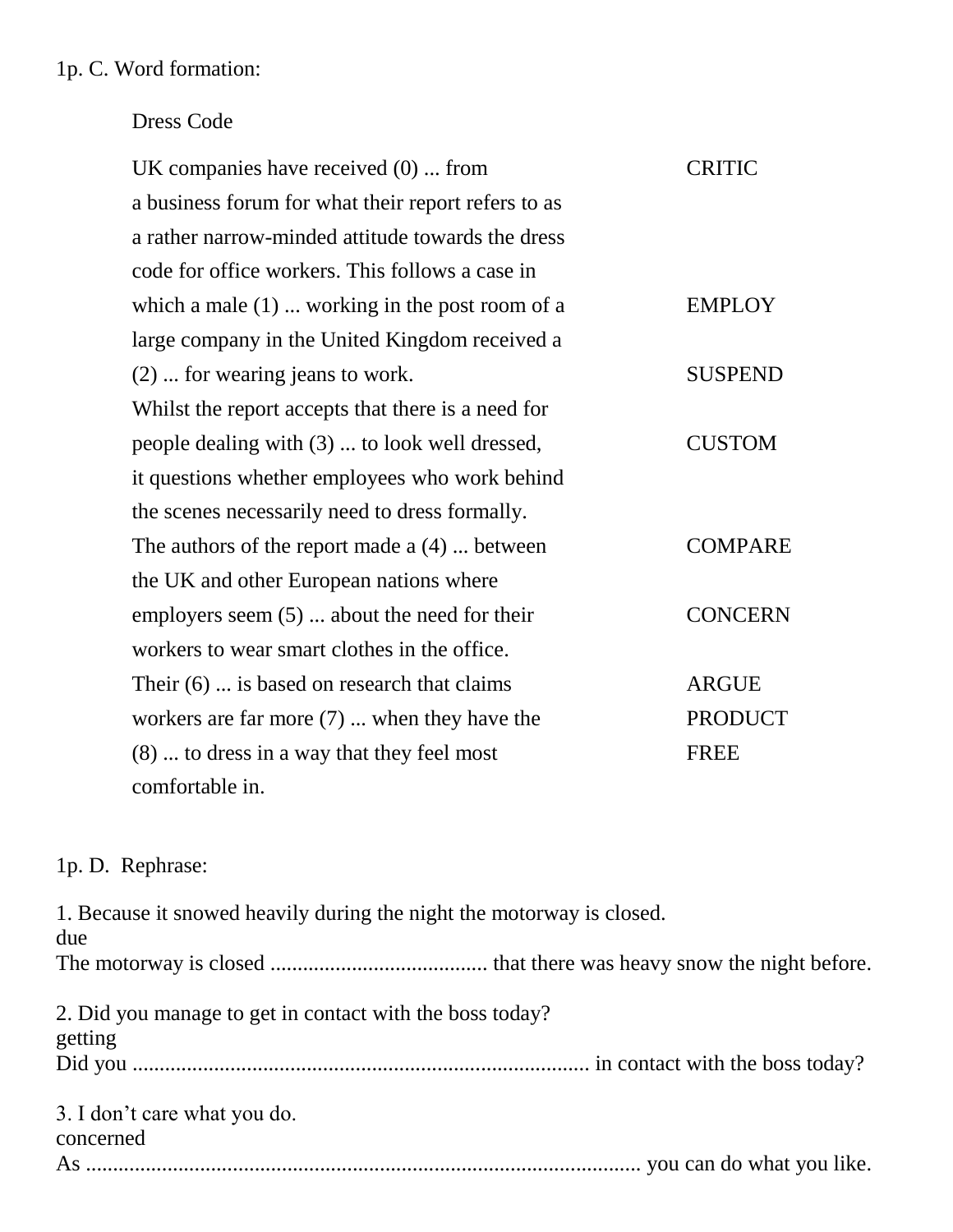#### 1p. C. Word formation:

#### Dress Code

| UK companies have received $(0)$ from               | <b>CRITIC</b>  |
|-----------------------------------------------------|----------------|
| a business forum for what their report refers to as |                |
| a rather narrow-minded attitude towards the dress   |                |
| code for office workers. This follows a case in     |                |
| which a male $(1)$ working in the post room of a    | <b>EMPLOY</b>  |
| large company in the United Kingdom received a      |                |
| (2)  for wearing jeans to work.                     | <b>SUSPEND</b> |
| Whilst the report accepts that there is a need for  |                |
| people dealing with (3)  to look well dressed,      | <b>CUSTOM</b>  |
| it questions whether employees who work behind      |                |
| the scenes necessarily need to dress formally.      |                |
| The authors of the report made $a(4)$ between       | <b>COMPARE</b> |
| the UK and other European nations where             |                |
| employers seem $(5)$ about the need for their       | <b>CONCERN</b> |
| workers to wear smart clothes in the office.        |                |
| Their $(6)$ is based on research that claims        | <b>ARGUE</b>   |
| workers are far more $(7)$ when they have the       | <b>PRODUCT</b> |
| (8)  to dress in a way that they feel most          | <b>FREE</b>    |
| comfortable in.                                     |                |

#### 1p. D. Rephrase:

1. Because it snowed heavily during the night the motorway is closed. due The motorway is closed ........................................ that there was heavy snow the night before. 2. Did you manage to get in contact with the boss today? getting Did you .................................................................................... in contact with the boss today? 3. I don't care what you do. concerned As ...................................................................................................... you can do what you like.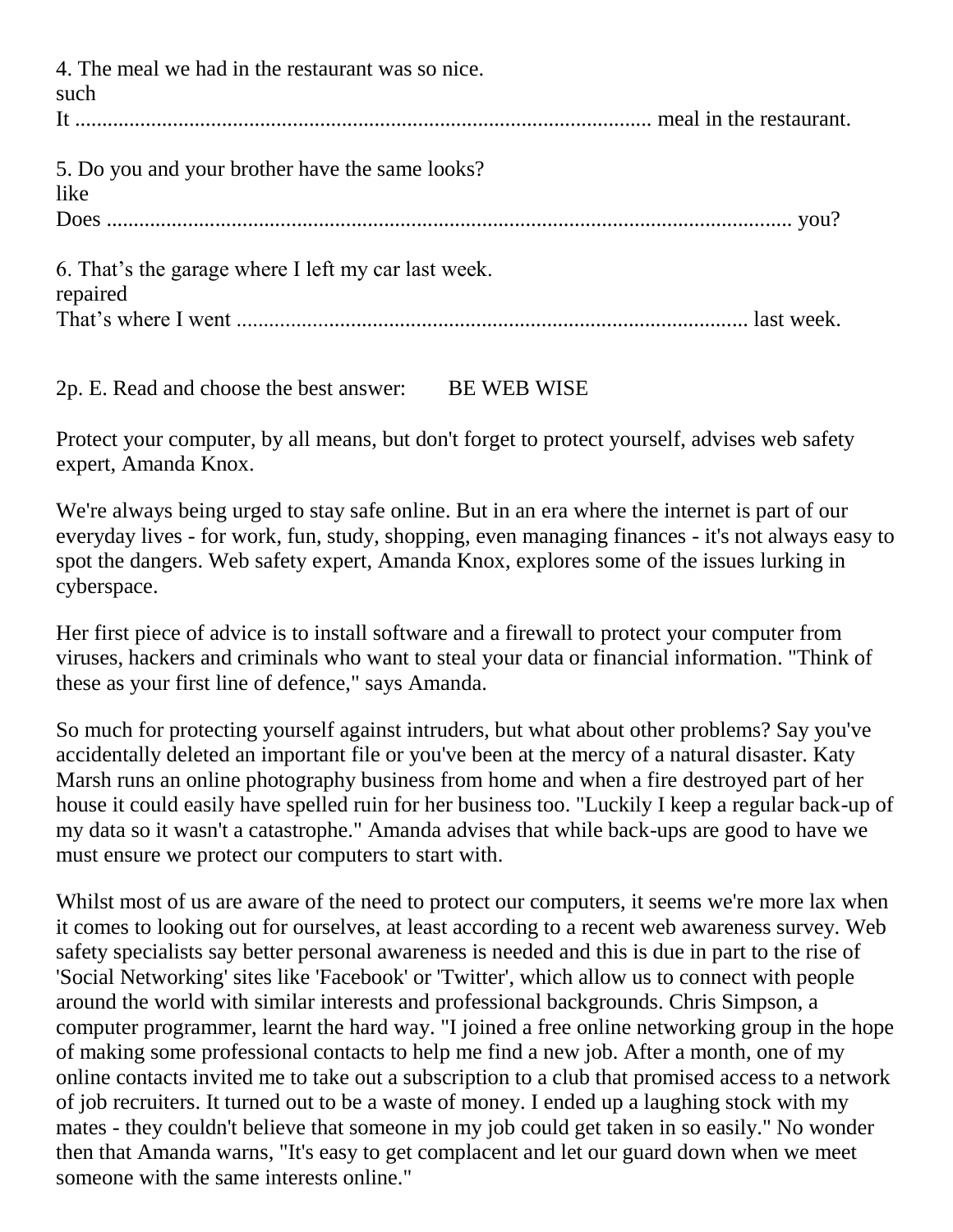4. The meal we had in the restaurant was so nice. such It .......................................................................................................... meal in the restaurant. 5. Do you and your brother have the same looks? like Does .............................................................................................................................. you? 6. That's the garage where I left my car last week. repaired That's where I went .............................................................................................. last week.

2p. E. Read and choose the best answer: BE WEB WISE

Protect your computer, by all means, but don't forget to protect yourself, advises web safety expert, Amanda Knox.

We're always being urged to stay safe online. But in an era where the internet is part of our everyday lives - for work, fun, study, shopping, even managing finances - it's not always easy to spot the dangers. Web safety expert, Amanda Knox, explores some of the issues lurking in cyberspace.

Her first piece of advice is to install software and a firewall to protect your computer from viruses, hackers and criminals who want to steal your data or financial information. "Think of these as your first line of defence," says Amanda.

So much for protecting yourself against intruders, but what about other problems? Say you've accidentally deleted an important file or you've been at the mercy of a natural disaster. Katy Marsh runs an online photography business from home and when a fire destroyed part of her house it could easily have spelled ruin for her business too. "Luckily I keep a regular back-up of my data so it wasn't a catastrophe." Amanda advises that while back-ups are good to have we must ensure we protect our computers to start with.

Whilst most of us are aware of the need to protect our computers, it seems we're more lax when it comes to looking out for ourselves, at least according to a recent web awareness survey. Web safety specialists say better personal awareness is needed and this is due in part to the rise of 'Social Networking' sites like 'Facebook' or 'Twitter', which allow us to connect with people around the world with similar interests and professional backgrounds. Chris Simpson, a computer programmer, learnt the hard way. "I joined a free online networking group in the hope of making some professional contacts to help me find a new job. After a month, one of my online contacts invited me to take out a subscription to a club that promised access to a network of job recruiters. It turned out to be a waste of money. I ended up a laughing stock with my mates - they couldn't believe that someone in my job could get taken in so easily." No wonder then that Amanda warns, "It's easy to get complacent and let our guard down when we meet someone with the same interests online."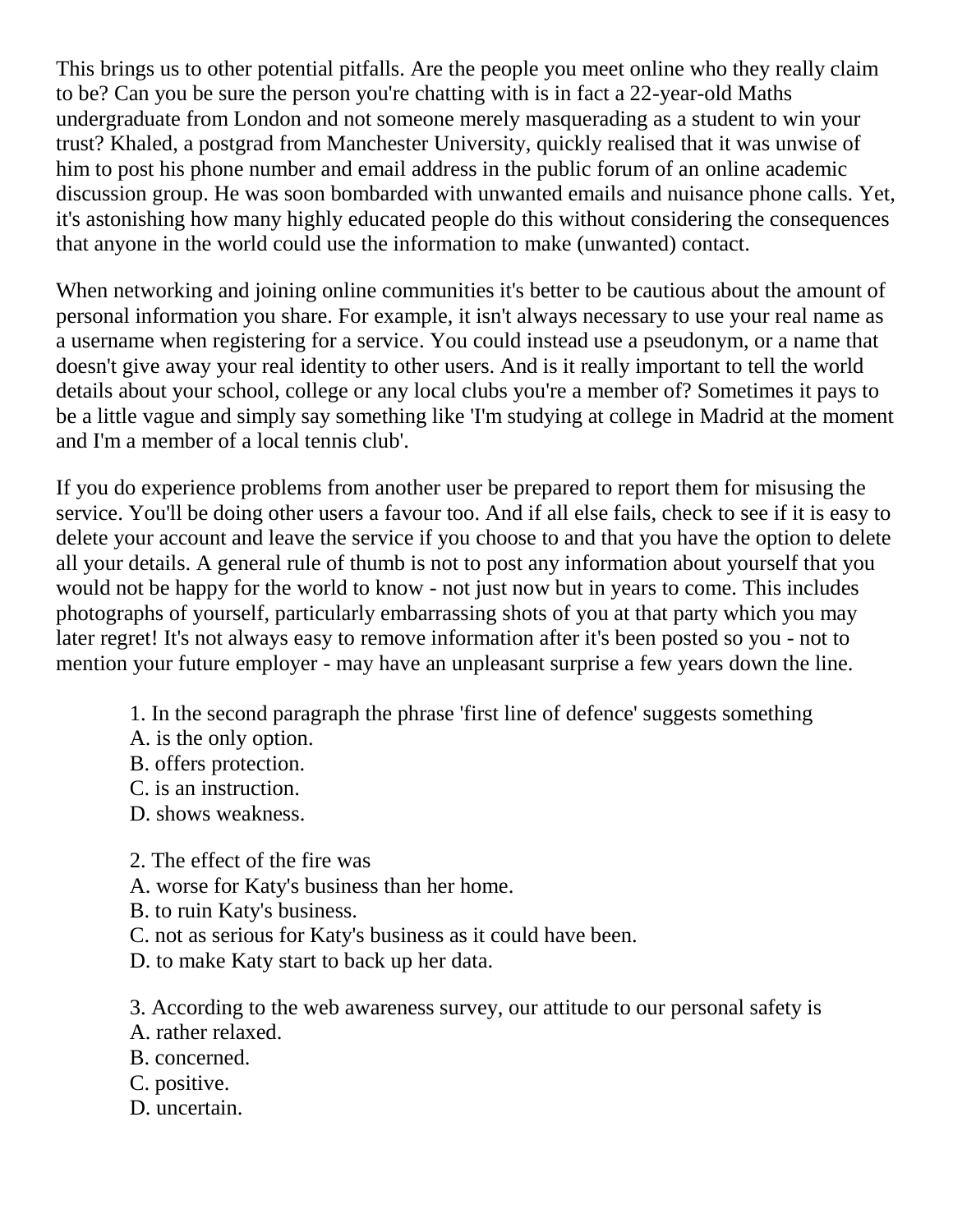This brings us to other potential pitfalls. Are the people you meet online who they really claim to be? Can you be sure the person you're chatting with is in fact a 22-year-old Maths undergraduate from London and not someone merely masquerading as a student to win your trust? Khaled, a postgrad from Manchester University, quickly realised that it was unwise of him to post his phone number and email address in the public forum of an online academic discussion group. He was soon bombarded with unwanted emails and nuisance phone calls. Yet, it's astonishing how many highly educated people do this without considering the consequences that anyone in the world could use the information to make (unwanted) contact.

When networking and joining online communities it's better to be cautious about the amount of personal information you share. For example, it isn't always necessary to use your real name as a username when registering for a service. You could instead use a pseudonym, or a name that doesn't give away your real identity to other users. And is it really important to tell the world details about your school, college or any local clubs you're a member of? Sometimes it pays to be a little vague and simply say something like 'I'm studying at college in Madrid at the moment and I'm a member of a local tennis club'.

If you do experience problems from another user be prepared to report them for misusing the service. You'll be doing other users a favour too. And if all else fails, check to see if it is easy to delete your account and leave the service if you choose to and that you have the option to delete all your details. A general rule of thumb is not to post any information about yourself that you would not be happy for the world to know - not just now but in years to come. This includes photographs of yourself, particularly embarrassing shots of you at that party which you may later regret! It's not always easy to remove information after it's been posted so you - not to mention your future employer - may have an unpleasant surprise a few years down the line.

- 1. In the second paragraph the phrase 'first line of defence' suggests something
- A. is the only option.
- B. offers protection.
- C. is an instruction.
- D. shows weakness.
- 2. The effect of the fire was
- A. worse for Katy's business than her home.
- B. to ruin Katy's business.
- C. not as serious for Katy's business as it could have been.
- D. to make Katy start to back up her data.

3. According to the web awareness survey, our attitude to our personal safety is

- A. rather relaxed.
- B. concerned.
- C. positive.
- D. uncertain.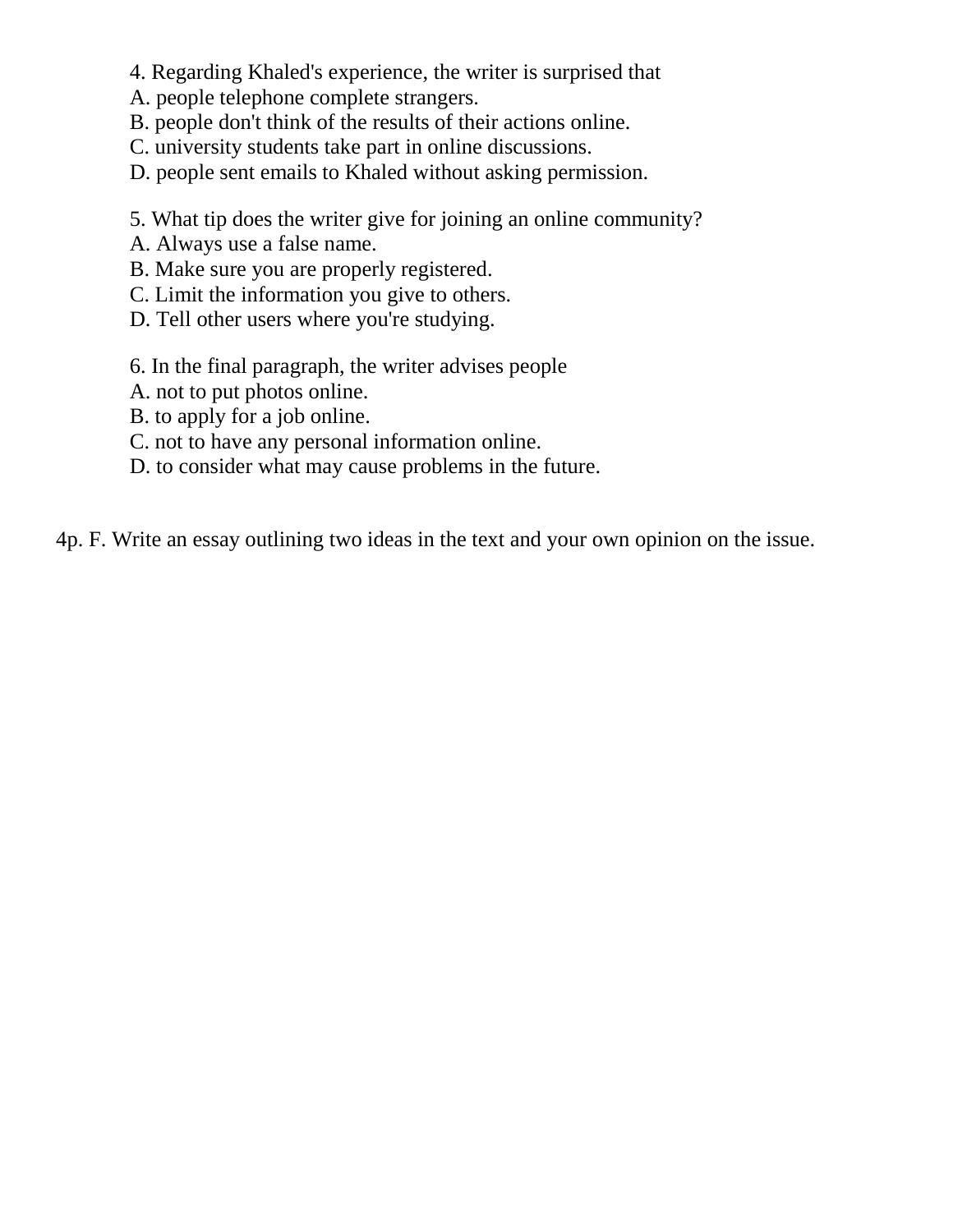- 4. Regarding Khaled's experience, the writer is surprised that
- A. people telephone complete strangers.
- B. people don't think of the results of their actions online.
- C. university students take part in online discussions.
- D. people sent emails to Khaled without asking permission.
- 5. What tip does the writer give for joining an online community?
- A. Always use a false name.
- B. Make sure you are properly registered.
- C. Limit the information you give to others.
- D. Tell other users where you're studying.
- 6. In the final paragraph, the writer advises people
- A. not to put photos online.
- B. to apply for a job online.
- C. not to have any personal information online.
- D. to consider what may cause problems in the future.

4p. F. Write an essay outlining two ideas in the text and your own opinion on the issue.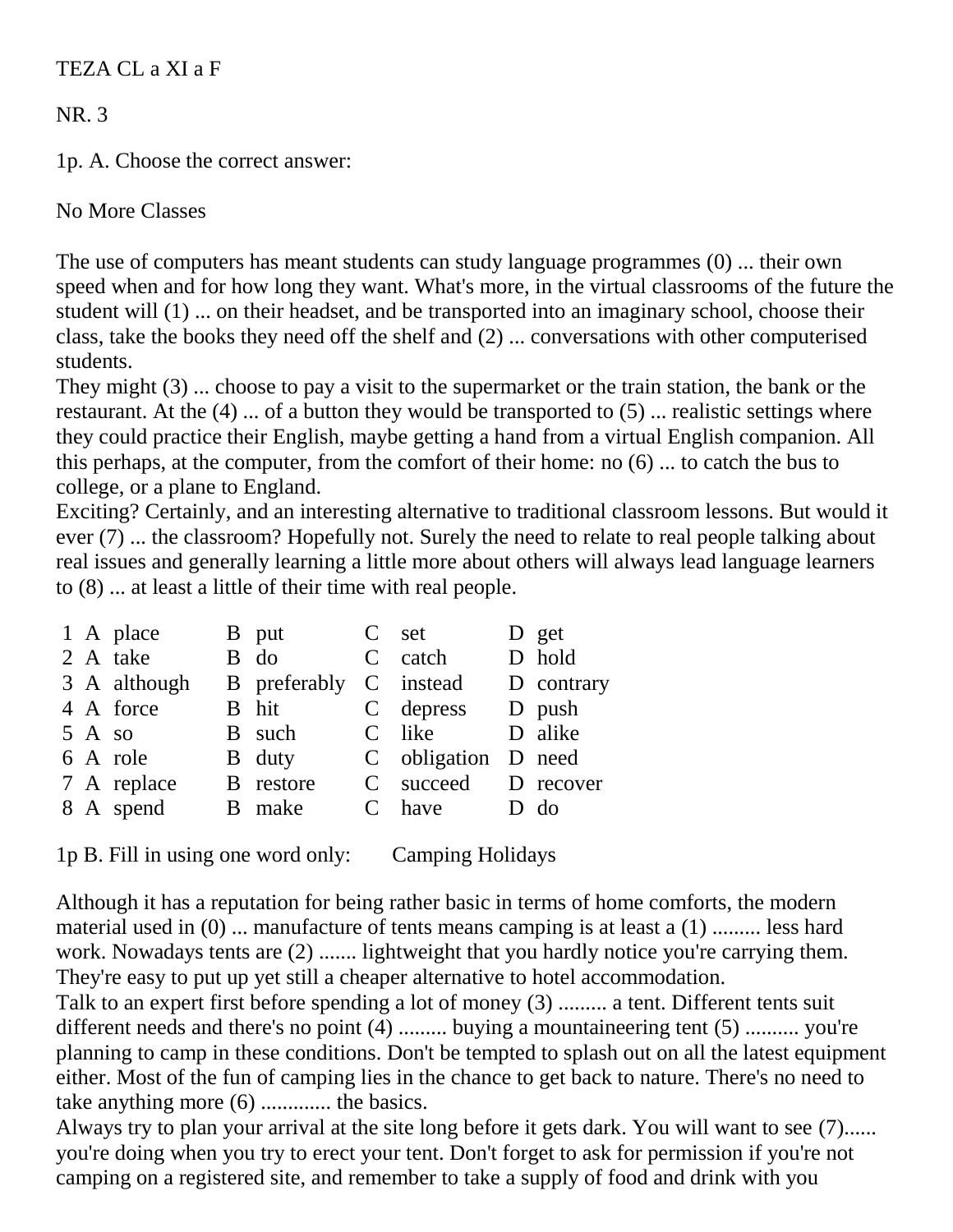TEZA CL a XI a F

NR. 3

1p. A. Choose the correct answer:

No More Classes

The use of computers has meant students can study language programmes (0) ... their own speed when and for how long they want. What's more, in the virtual classrooms of the future the student will (1) ... on their headset, and be transported into an imaginary school, choose their class, take the books they need off the shelf and (2) ... conversations with other computerised students.

They might (3) ... choose to pay a visit to the supermarket or the train station, the bank or the restaurant. At the (4) ... of a button they would be transported to (5) ... realistic settings where they could practice their English, maybe getting a hand from a virtual English companion. All this perhaps, at the computer, from the comfort of their home: no (6) ... to catch the bus to college, or a plane to England.

Exciting? Certainly, and an interesting alternative to traditional classroom lessons. But would it ever (7) ... the classroom? Hopefully not. Surely the need to relate to real people talking about real issues and generally learning a little more about others will always lead language learners to (8) ... at least a little of their time with real people.

|  | 1 A place        | B put            | C set               | D get      |
|--|------------------|------------------|---------------------|------------|
|  | 2 A take         | B do             | C catch             | D hold     |
|  | 3 A although     | B preferably     | C instead           | D contrary |
|  | 4 A force        | B hit            | C depress           | D push     |
|  | $5 \text{ A}$ so | B such           | C like              | D alike    |
|  | 6 A role         | B duty           | C obligation D need |            |
|  | 7 A replace      | <b>B</b> restore | C succeed D recover |            |
|  | 8 A spend        | B make           | C have              | $D$ do     |
|  |                  |                  |                     |            |

1p B. Fill in using one word only: Camping Holidays

Although it has a reputation for being rather basic in terms of home comforts, the modern material used in (0) ... manufacture of tents means camping is at least a (1) ......... less hard work. Nowadays tents are  $(2)$  ....... lightweight that you hardly notice you're carrying them. They're easy to put up yet still a cheaper alternative to hotel accommodation.

Talk to an expert first before spending a lot of money (3) ......... a tent. Different tents suit different needs and there's no point (4) ......... buying a mountaineering tent (5) .......... you're planning to camp in these conditions. Don't be tempted to splash out on all the latest equipment either. Most of the fun of camping lies in the chance to get back to nature. There's no need to take anything more (6) ............. the basics.

Always try to plan your arrival at the site long before it gets dark. You will want to see (7)...... you're doing when you try to erect your tent. Don't forget to ask for permission if you're not camping on a registered site, and remember to take a supply of food and drink with you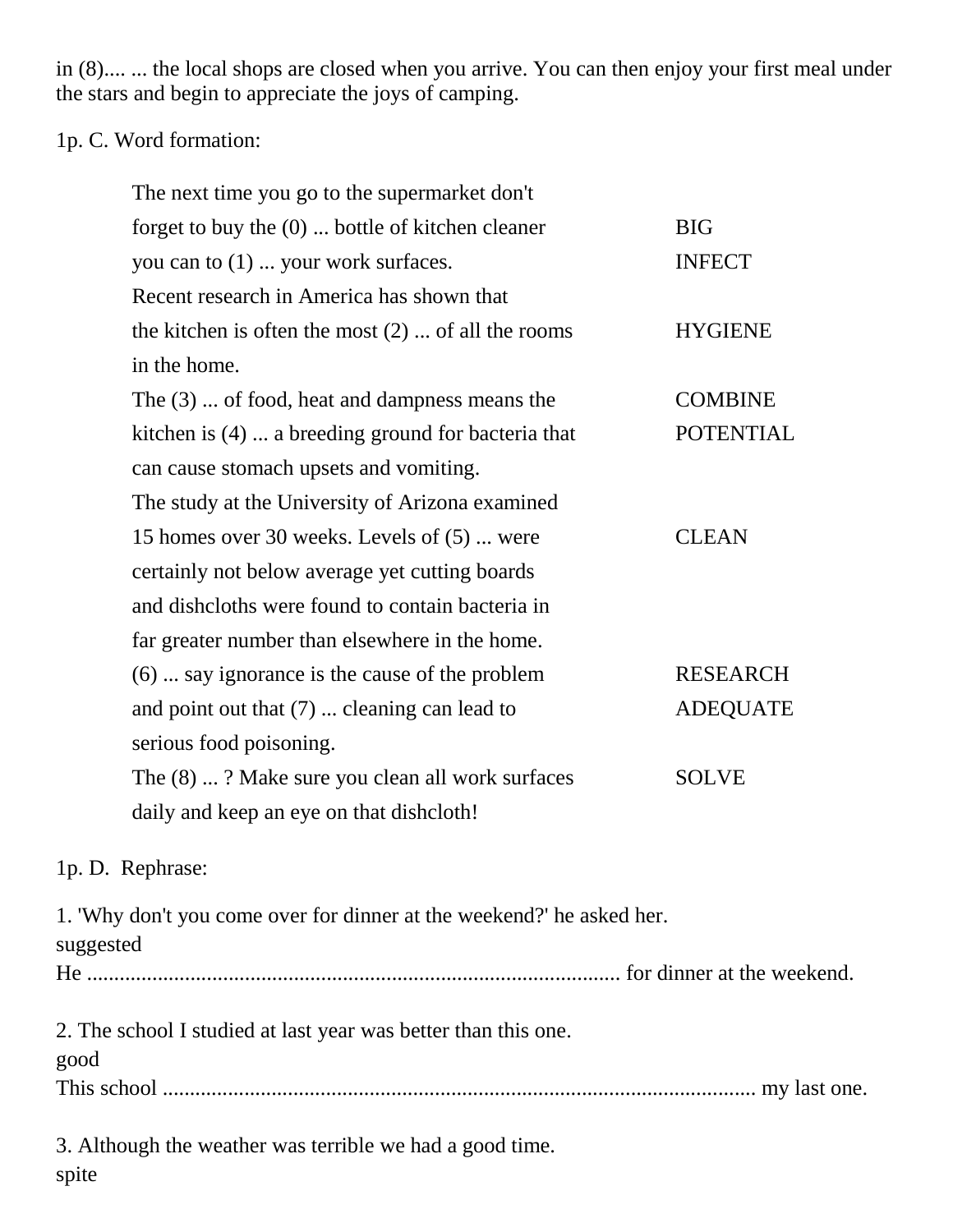in (8).... ... the local shops are closed when you arrive. You can then enjoy your first meal under the stars and begin to appreciate the joys of camping.

### 1p. C. Word formation:

| The next time you go to the supermarket don't        |                  |
|------------------------------------------------------|------------------|
| forget to buy the $(0)$ bottle of kitchen cleaner    | <b>BIG</b>       |
| you can to (1)  your work surfaces.                  | <b>INFECT</b>    |
| Recent research in America has shown that            |                  |
| the kitchen is often the most $(2)$ of all the rooms | <b>HYGIENE</b>   |
| in the home.                                         |                  |
| The $(3)$ of food, heat and dampness means the       | <b>COMBINE</b>   |
| kitchen is (4)  a breeding ground for bacteria that  | <b>POTENTIAL</b> |
| can cause stomach upsets and vomiting.               |                  |
| The study at the University of Arizona examined      |                  |
| 15 homes over 30 weeks. Levels of (5)  were          | <b>CLEAN</b>     |
| certainly not below average yet cutting boards       |                  |
| and disheloths were found to contain bacteria in     |                  |
| far greater number than elsewhere in the home.       |                  |
| $(6)$ say ignorance is the cause of the problem      | <b>RESEARCH</b>  |
| and point out that $(7)$ cleaning can lead to        | <b>ADEQUATE</b>  |
| serious food poisoning.                              |                  |
| The (8) ? Make sure you clean all work surfaces      | <b>SOLVE</b>     |
| daily and keep an eye on that dishcloth!             |                  |

### 1p. D. Rephrase:

1. 'Why don't you come over for dinner at the weekend?' he asked her. suggested He .................................................................................................. for dinner at the weekend. 2. The school I studied at last year was better than this one. good This school ............................................................................................................. my last one. 3. Although the weather was terrible we had a good time.

spite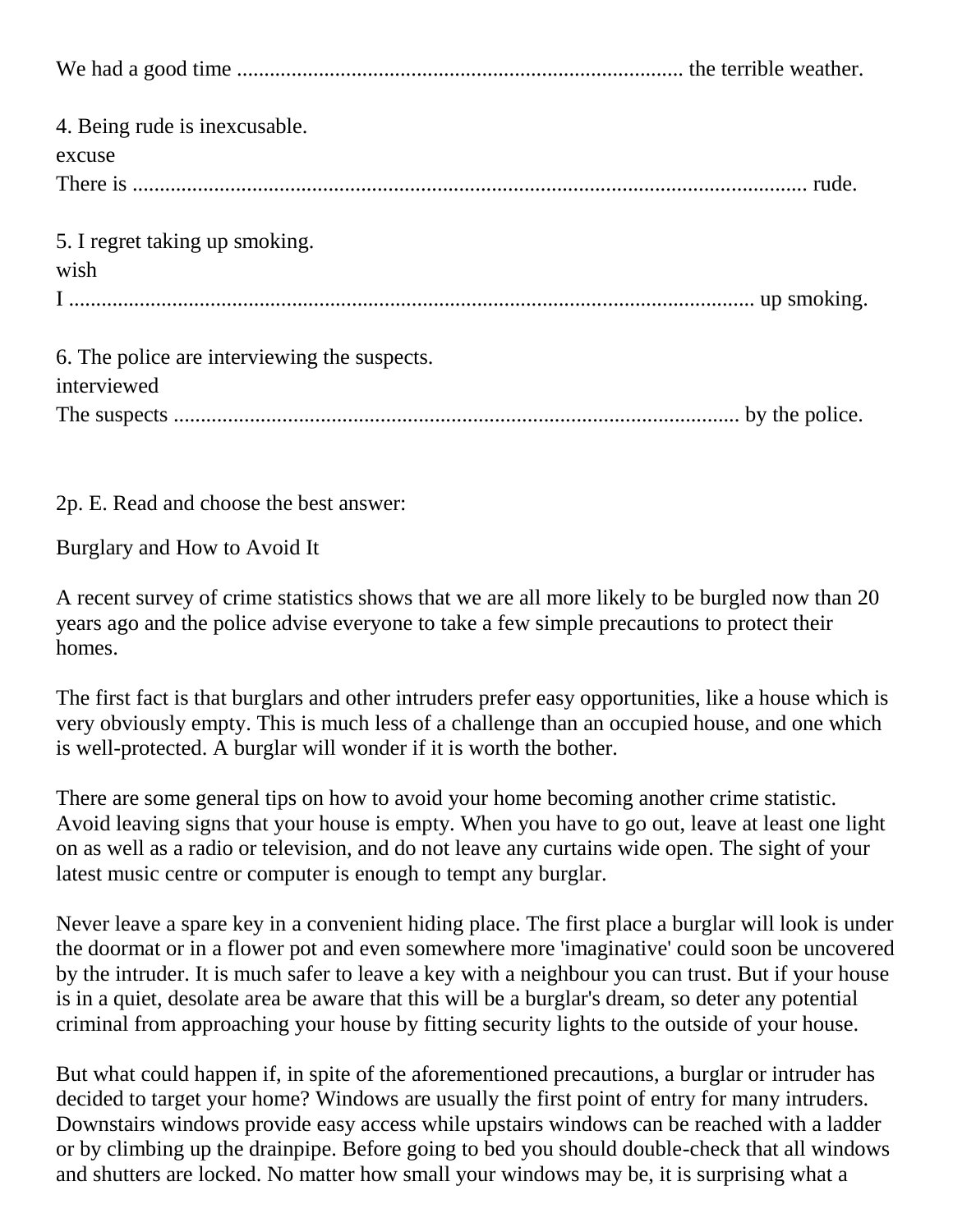| 4. Being rude is inexcusable.<br>excuse                     |
|-------------------------------------------------------------|
| 5. I regret taking up smoking.<br>wish                      |
| 6. The police are interviewing the suspects.<br>interviewed |

2p. E. Read and choose the best answer:

Burglary and How to Avoid It

A recent survey of crime statistics shows that we are all more likely to be burgled now than 20 years ago and the police advise everyone to take a few simple precautions to protect their homes.

The first fact is that burglars and other intruders prefer easy opportunities, like a house which is very obviously empty. This is much less of a challenge than an occupied house, and one which is well-protected. A burglar will wonder if it is worth the bother.

There are some general tips on how to avoid your home becoming another crime statistic. Avoid leaving signs that your house is empty. When you have to go out, leave at least one light on as well as a radio or television, and do not leave any curtains wide open. The sight of your latest music centre or computer is enough to tempt any burglar.

Never leave a spare key in a convenient hiding place. The first place a burglar will look is under the doormat or in a flower pot and even somewhere more 'imaginative' could soon be uncovered by the intruder. It is much safer to leave a key with a neighbour you can trust. But if your house is in a quiet, desolate area be aware that this will be a burglar's dream, so deter any potential criminal from approaching your house by fitting security lights to the outside of your house.

But what could happen if, in spite of the aforementioned precautions, a burglar or intruder has decided to target your home? Windows are usually the first point of entry for many intruders. Downstairs windows provide easy access while upstairs windows can be reached with a ladder or by climbing up the drainpipe. Before going to bed you should double-check that all windows and shutters are locked. No matter how small your windows may be, it is surprising what a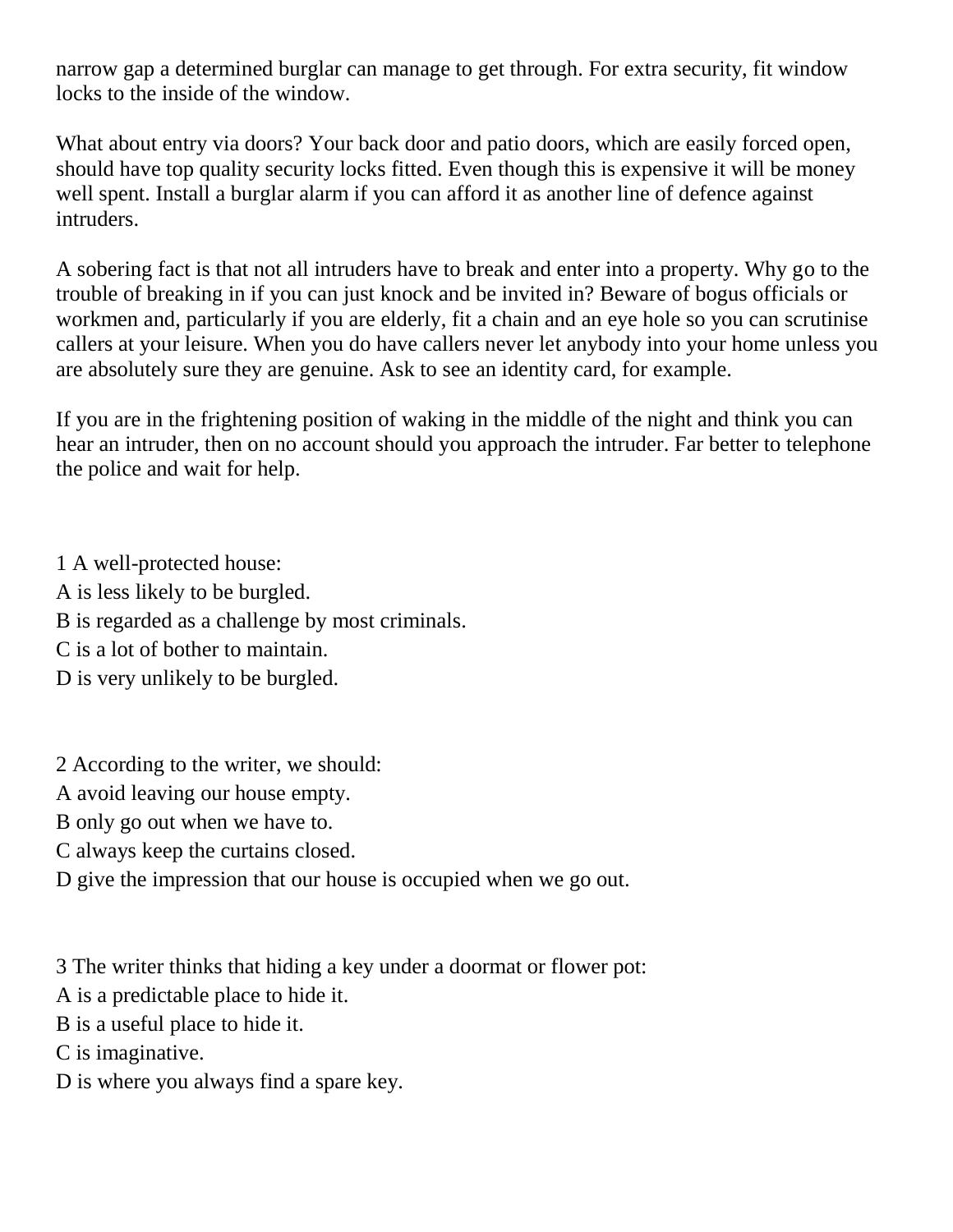narrow gap a determined burglar can manage to get through. For extra security, fit window locks to the inside of the window.

What about entry via doors? Your back door and patio doors, which are easily forced open, should have top quality security locks fitted. Even though this is expensive it will be money well spent. Install a burglar alarm if you can afford it as another line of defence against intruders.

A sobering fact is that not all intruders have to break and enter into a property. Why go to the trouble of breaking in if you can just knock and be invited in? Beware of bogus officials or workmen and, particularly if you are elderly, fit a chain and an eye hole so you can scrutinise callers at your leisure. When you do have callers never let anybody into your home unless you are absolutely sure they are genuine. Ask to see an identity card, for example.

If you are in the frightening position of waking in the middle of the night and think you can hear an intruder, then on no account should you approach the intruder. Far better to telephone the police and wait for help.

1 A well-protected house: A is less likely to be burgled. B is regarded as a challenge by most criminals. C is a lot of bother to maintain. D is very unlikely to be burgled.

2 According to the writer, we should:

A avoid leaving our house empty.

B only go out when we have to.

C always keep the curtains closed.

D give the impression that our house is occupied when we go out.

3 The writer thinks that hiding a key under a doormat or flower pot:

A is a predictable place to hide it.

B is a useful place to hide it.

C is imaginative.

D is where you always find a spare key.